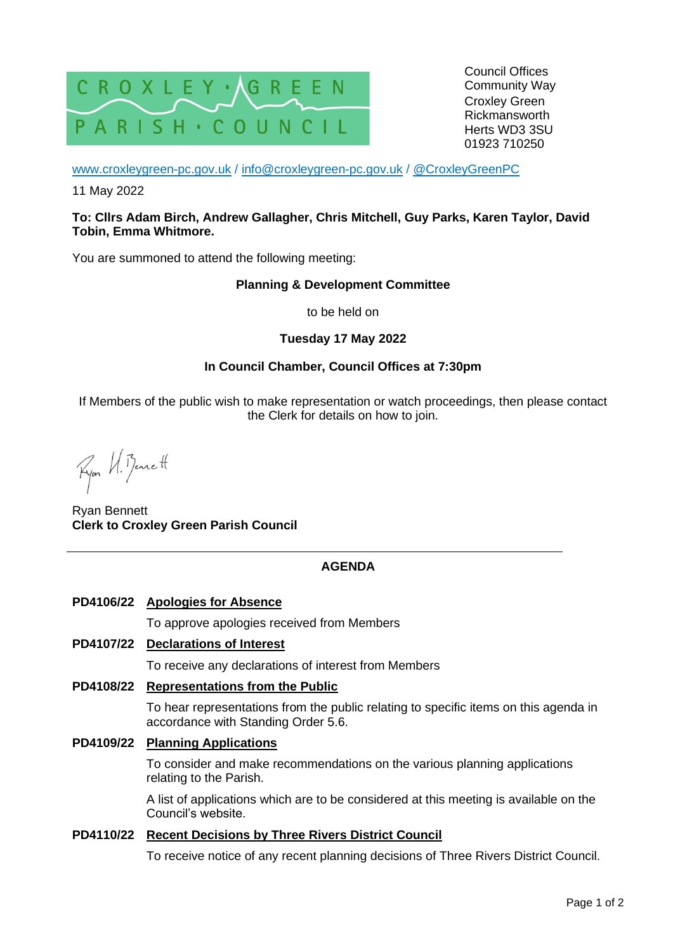

Council Offices Community Way Croxley Green Rickmansworth Herts WD3 3SU 01923 710250

[www.croxleygreen-pc.gov.uk](http://www.croxleygreen-pc.gov.uk/) / [info@croxleygreen-pc.gov.uk](mailto:info@croxleygreen-pc.gov.uk) / [@CroxleyGreenPC](https://twitter.com/CroxleyGreenPC)

11 May 2022

#### **To: Cllrs Adam Birch, Andrew Gallagher, Chris Mitchell, Guy Parks, Karen Taylor, David Tobin, Emma Whitmore.**

You are summoned to attend the following meeting:

#### **Planning & Development Committee**

to be held on

## **Tuesday 17 May 2022**

## **In Council Chamber, Council Offices at 7:30pm**

If Members of the public wish to make representation or watch proceedings, then please contact the Clerk for details on how to join.

Ryon U. Bennett

Ryan Bennett **Clerk to Croxley Green Parish Council**

## **AGENDA**

## **PD4106/22 Apologies for Absence**

To approve apologies received from Members

### **PD4107/22 Declarations of Interest**

To receive any declarations of interest from Members

### **PD4108/22 Representations from the Public**

To hear representations from the public relating to specific items on this agenda in accordance with Standing Order 5.6.

# **PD4109/22 Planning Applications**

To consider and make recommendations on the various planning applications relating to the Parish.

A list of applications which are to be considered at this meeting is available on the Council's website.

#### **PD4110/22 Recent Decisions by Three Rivers District Council**

To receive notice of any recent planning decisions of Three Rivers District Council.